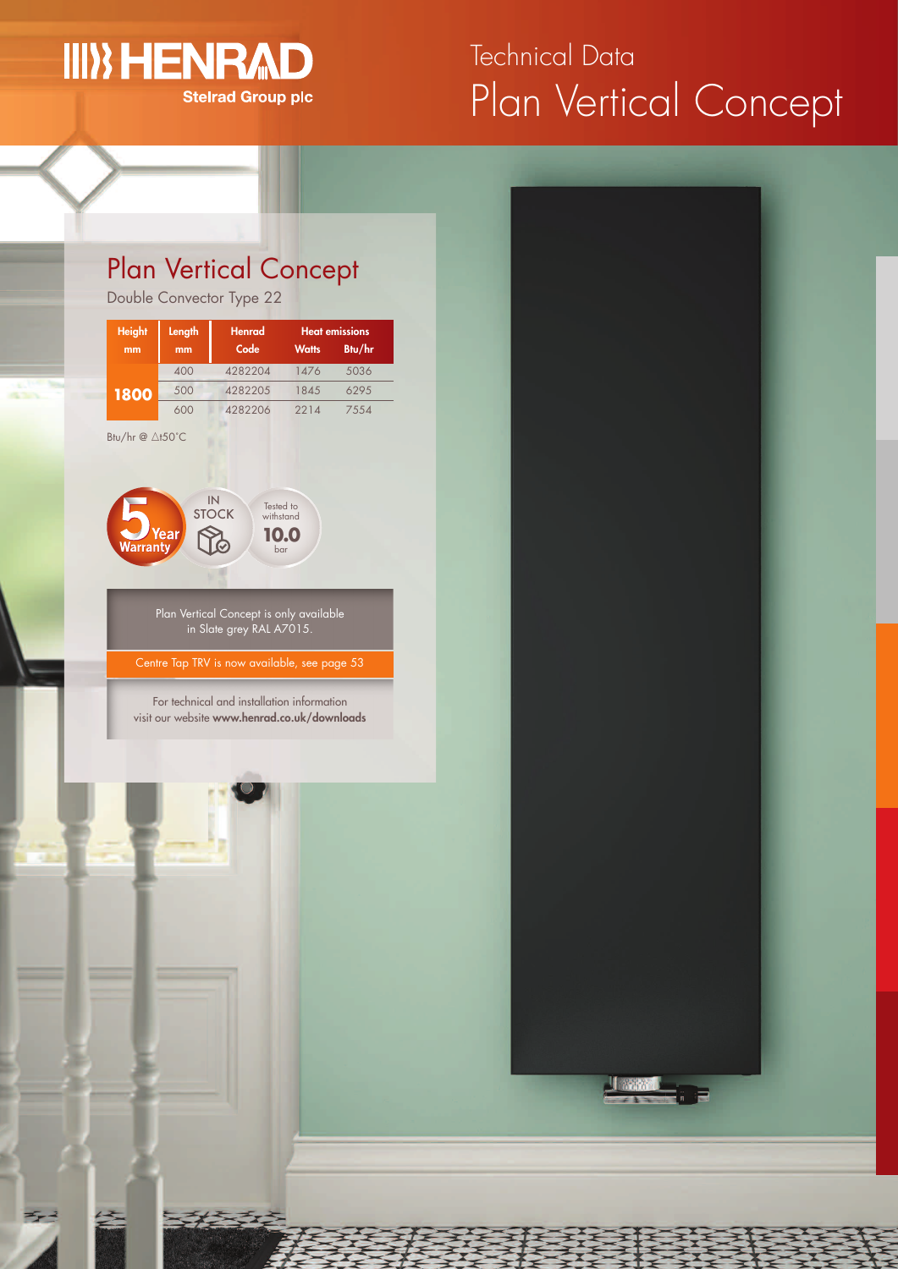# **III) HENRA**

**Stelrad Group plc** 

## Plan Vertical Concept Technical Data

## Plan Vertical Concept

Double Convector Type 22

| <b>Height</b>              | Length | <b>Henrad</b> | <b>Heat emissions</b> |        |  |
|----------------------------|--------|---------------|-----------------------|--------|--|
| mm                         | mm     | Code          | <b>Watts</b>          | Btu/hr |  |
| 1800                       | 400    | 4282204       | 1476                  | 5036   |  |
|                            | 500    | 4282205       | 1845                  | 629.5  |  |
|                            | 600    | 4282206       | 2214                  | 7554   |  |
| Btu/hr $@ \triangle$ t50°C |        |               |                       |        |  |



For technical and installation information visit our website **www.henrad.co.uk/downloads**



<u>Jaam I</u> i e